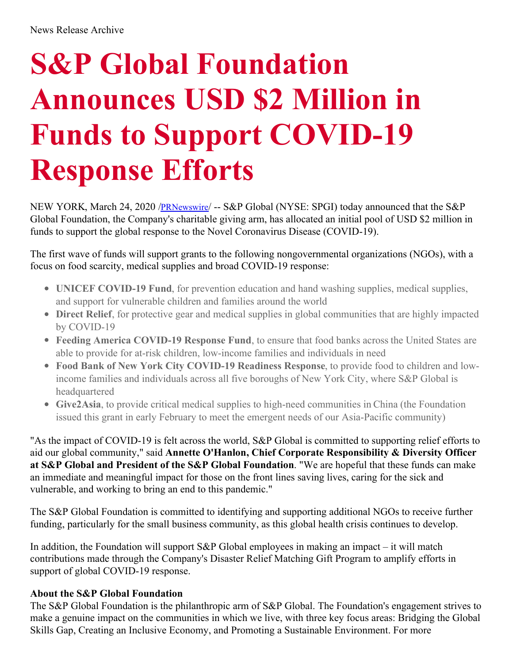## **S&P Global Foundation Announces USD \$2 Million in Funds to Support COVID-19 Response Efforts**

NEW YORK, March 24, 2020 /*[PRNewswire](http://www.prnewswire.com/)*/ -- S&P Global (NYSE: SPGI) today announced that the S&P Global Foundation, the Company's charitable giving arm, has allocated an initial pool of USD \$2 million in funds to support the global response to the Novel Coronavirus Disease (COVID-19).

The first wave of funds will support grants to the following nongovernmental organizations (NGOs), with a focus on food scarcity, medical supplies and broad COVID-19 response:

- **UNICEF COVID-19 Fund**, for prevention education and hand washing supplies, medical supplies, and support for vulnerable children and families around the world
- **Direct Relief**, for protective gear and medical supplies in global communities that are highly impacted by COVID-19
- **Feeding America COVID-19 Response Fund**, to ensure that food banks across the United States are able to provide for at-risk children, low-income families and individuals in need
- **Food Bank of New York City COVID-19 Readiness Response**, to provide food to children and lowincome families and individuals across all five boroughs of New York City, where S&P Global is headquartered
- **Give2Asia**, to provide critical medical supplies to high-need communities in China (the Foundation issued this grant in early February to meet the emergent needs of our Asia-Pacific community)

"As the impact of COVID-19 is felt across the world, S&P Global is committed to supporting relief efforts to aid our global community," said **Annette O'Hanlon, Chief Corporate Responsibility & Diversity Officer at S&P Global and President of the S&P Global Foundation**. "We are hopeful that these funds can make an immediate and meaningful impact for those on the front lines saving lives, caring for the sick and vulnerable, and working to bring an end to this pandemic."

The S&P Global Foundation is committed to identifying and supporting additional NGOs to receive further funding, particularly for the small business community, as this global health crisis continues to develop.

In addition, the Foundation will support  $S\&P$  Global employees in making an impact – it will match contributions made through the Company's Disaster Relief Matching Gift Program to amplify efforts in support of global COVID-19 response.

## **About the S&P Global Foundation**

The S&P Global Foundation is the philanthropic arm of S&P Global. The Foundation's engagement strives to make a genuine impact on the communities in which we live, with three key focus areas: Bridging the Global Skills Gap, Creating an Inclusive Economy, and Promoting a Sustainable Environment. For more